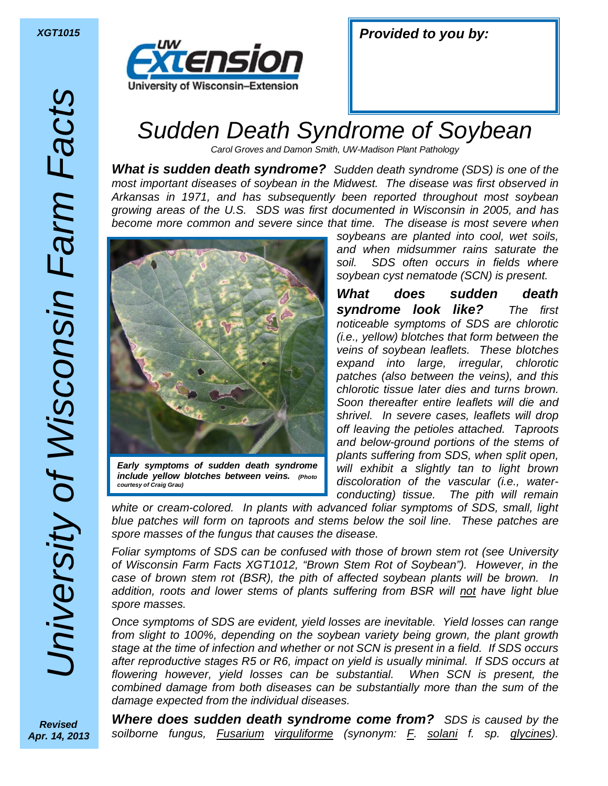

| <b>Provided to you by:</b> |  |  |
|----------------------------|--|--|
|----------------------------|--|--|

## *Sudden Death Syndrome of Soybean*

*Carol Groves and Damon Smith, UW-Madison Plant Pathology* 

*What is sudden death syndrome? Sudden death syndrome (SDS) is one of the most important diseases of soybean in the Midwest. The disease was first observed in Arkansas in 1971, and has subsequently been reported throughout most soybean growing areas of the U.S. SDS was first documented in Wisconsin in 2005, and has become more common and severe since that time. The disease is most severe when* 



*Early symptoms of sudden death syndrome include yellow blotches between veins. (Photo courtesy of Craig Grau)*

*soybeans are planted into cool, wet soils, and when midsummer rains saturate the soil. SDS often occurs in fields where soybean cyst nematode (SCN) is present.* 

*What does sudden death syndrome look like? The first noticeable symptoms of SDS are chlorotic (i.e., yellow) blotches that form between the veins of soybean leaflets. These blotches expand into large, irregular, chlorotic patches (also between the veins), and this chlorotic tissue later dies and turns brown. Soon thereafter entire leaflets will die and shrivel. In severe cases, leaflets will drop off leaving the petioles attached. Taproots and below-ground portions of the stems of plants suffering from SDS, when split open, will exhibit a slightly tan to light brown discoloration of the vascular (i.e., waterconducting) tissue. The pith will remain* 

*white or cream-colored. In plants with advanced foliar symptoms of SDS, small, light blue patches will form on taproots and stems below the soil line. These patches are spore masses of the fungus that causes the disease.* 

*Foliar symptoms of SDS can be confused with those of brown stem rot (see University of Wisconsin Farm Facts XGT1012, "Brown Stem Rot of Soybean"). However, in the case of brown stem rot (BSR), the pith of affected soybean plants will be brown. In addition, roots and lower stems of plants suffering from BSR will not have light blue spore masses.* 

*Once symptoms of SDS are evident, yield losses are inevitable. Yield losses can range from slight to 100%, depending on the soybean variety being grown, the plant growth stage at the time of infection and whether or not SCN is present in a field. If SDS occurs after reproductive stages R5 or R6, impact on yield is usually minimal. If SDS occurs at flowering however, yield losses can be substantial. When SCN is present, the combined damage from both diseases can be substantially more than the sum of the damage expected from the individual diseases.* 

*Revised Apr. 14, 2013* 

*Where does sudden death syndrome come from? SDS is caused by the soilborne fungus, Fusarium virguliforme (synonym: F. solani f. sp. glycines).*